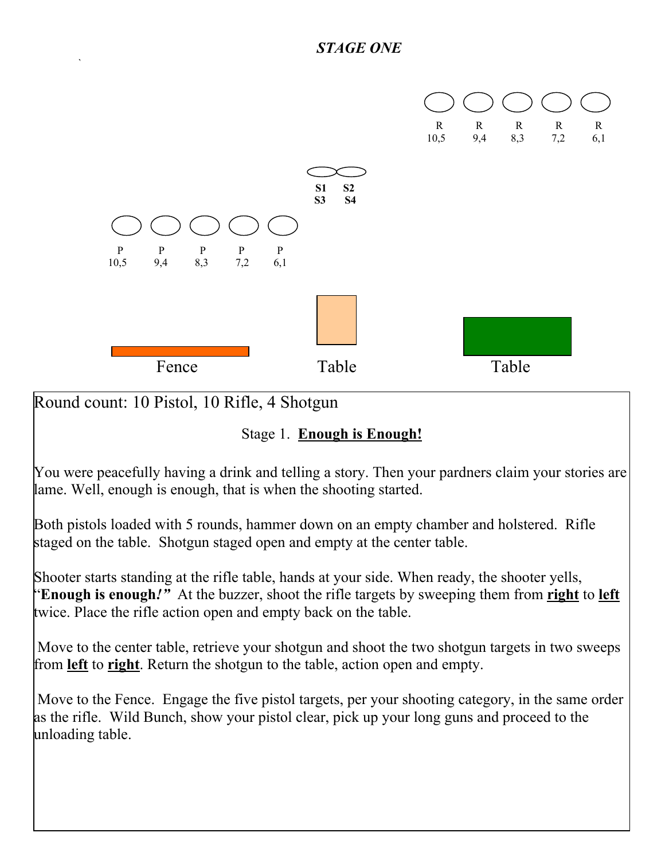

Round count: 10 Pistol, 10 Rifle, 4 Shotgun

 $\sum_{i=1}^n \frac{1}{i!} \sum_{j=1}^n \frac{1}{j!} \sum_{j=1}^n \frac{1}{j!} \sum_{j=1}^n \frac{1}{j!} \sum_{j=1}^n \frac{1}{j!} \sum_{j=1}^n \frac{1}{j!} \sum_{j=1}^n \frac{1}{j!} \sum_{j=1}^n \frac{1}{j!} \sum_{j=1}^n \frac{1}{j!} \sum_{j=1}^n \frac{1}{j!} \sum_{j=1}^n \frac{1}{j!} \sum_{j=1}^n \frac{1}{j!} \sum_{j=1}^n \frac{1}{j!$ 

Stage 1. **Enough is Enough!**

You were peacefully having a drink and telling a story. Then your pardners claim your stories are lame. Well, enough is enough, that is when the shooting started.

Both pistols loaded with 5 rounds, hammer down on an empty chamber and holstered. Rifle staged on the table. Shotgun staged open and empty at the center table.

Shooter starts standing at the rifle table, hands at your side. When ready, the shooter yells, "**Enough is enough***!"* At the buzzer, shoot the rifle targets by sweeping them from **right** to **left** twice. Place the rifle action open and empty back on the table.

 Move to the center table, retrieve your shotgun and shoot the two shotgun targets in two sweeps from **left** to **right**. Return the shotgun to the table, action open and empty.

Move to the Fence. Engage the five pistol targets, per your shooting category, in the same order as the rifle. Wild Bunch, show your pistol clear, pick up your long guns and proceed to the unloading table.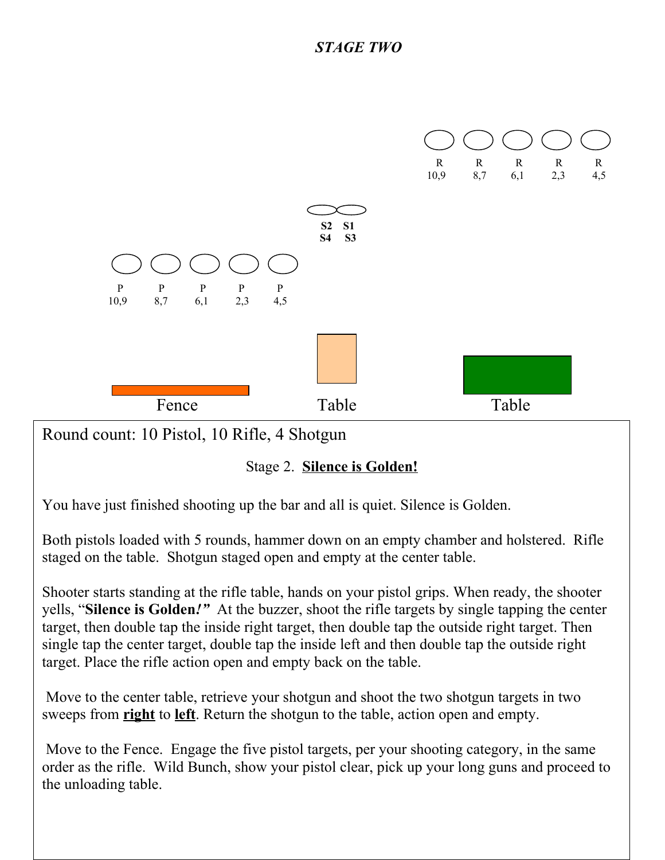

Shooter starts standing at the rifle table, hands on your pistol grips. When ready, the shooter yells, "**Silence is Golden***!"* At the buzzer, shoot the rifle targets by single tapping the center target, then double tap the inside right target, then double tap the outside right target. Then single tap the center target, double tap the inside left and then double tap the outside right target. Place the rifle action open and empty back on the table.

 Move to the center table, retrieve your shotgun and shoot the two shotgun targets in two sweeps from **right** to **left**. Return the shotgun to the table, action open and empty.

 Move to the Fence. Engage the five pistol targets, per your shooting category, in the same order as the rifle. Wild Bunch, show your pistol clear, pick up your long guns and proceed to the unloading table.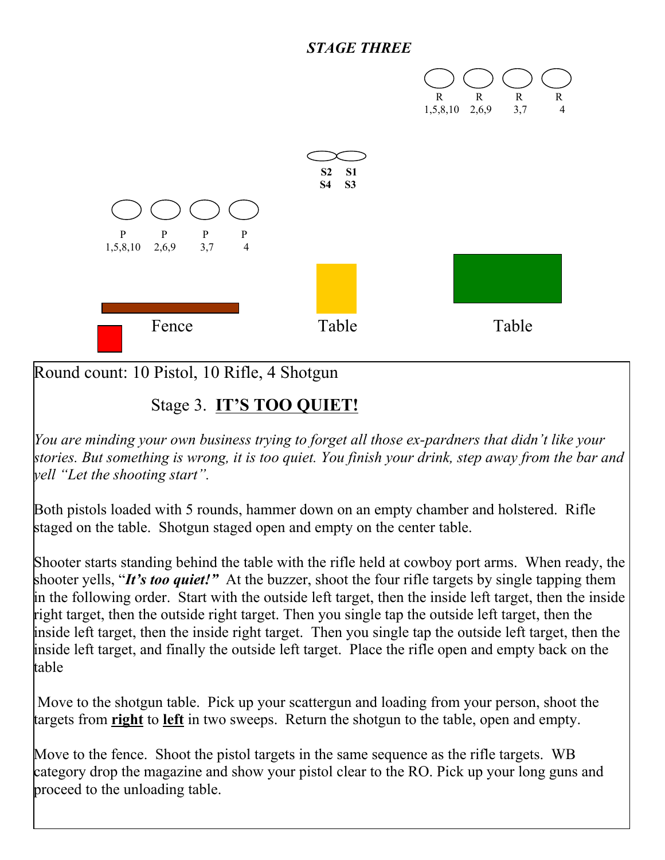## *STAGE THREE*



Round count: 10 Pistol, 10 Rifle, 4 Shotgun

## Stage 3. **IT'S TOO QUIET!**

*You are minding your own business trying to forget all those ex-pardners that didn't like your stories. But something is wrong, it is too quiet. You finish your drink, step away from the bar and yell "Let the shooting start".* 

Both pistols loaded with 5 rounds, hammer down on an empty chamber and holstered. Rifle staged on the table. Shotgun staged open and empty on the center table.

Shooter starts standing behind the table with the rifle held at cowboy port arms. When ready, the shooter yells, "*It's too quiet!"* At the buzzer, shoot the four rifle targets by single tapping them in the following order. Start with the outside left target, then the inside left target, then the inside right target, then the outside right target. Then you single tap the outside left target, then the inside left target, then the inside right target. Then you single tap the outside left target, then the inside left target, and finally the outside left target. Place the rifle open and empty back on the table

 Move to the shotgun table. Pick up your scattergun and loading from your person, shoot the targets from **right** to **left** in two sweeps. Return the shotgun to the table, open and empty.

Move to the fence. Shoot the pistol targets in the same sequence as the rifle targets. WB category drop the magazine and show your pistol clear to the RO. Pick up your long guns and proceed to the unloading table.